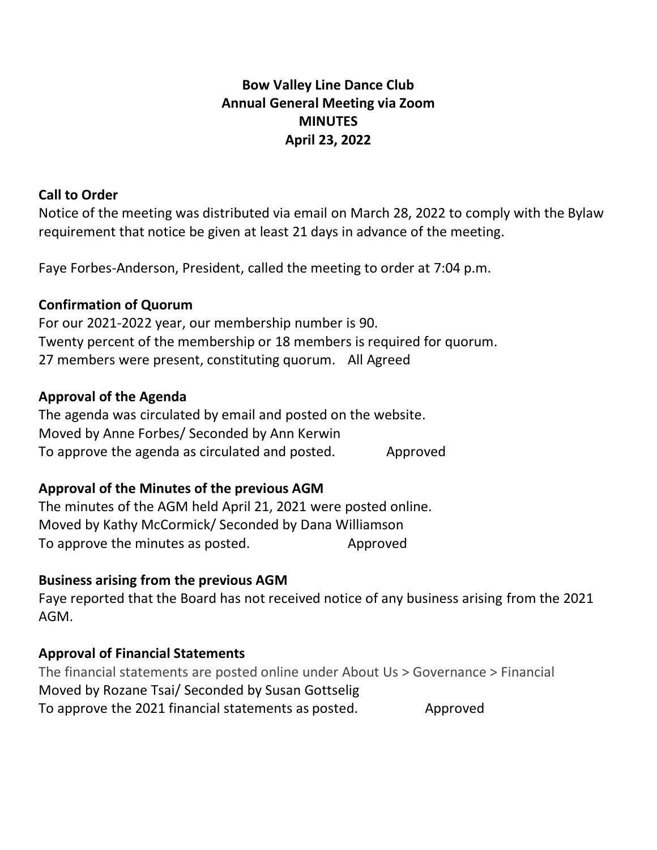# **Bow Valley Line Dance Club Annual General Meeting via Zoom MINUTES April 23, 2022**

#### **Call to Order**

Notice of the meeting was distributed via email on March 28, 2022 to comply with the Bylaw requirement that notice be given at least 21 days in advance of the meeting.

Faye Forbes-Anderson, President, called the meeting to order at 7:04 p.m.

#### **Confirmation of Quorum**

For our 2021-2022 year, our membership number is 90. Twenty percent of the membership or 18 members is required for quorum. 27 members were present, constituting quorum. All Agreed

#### **Approval of the Agenda**

The agenda was circulated by email and posted on the website. Moved by Anne Forbes/ Seconded by Ann Kerwin To approve the agenda as circulated and posted. Approved

#### **Approval of the Minutes of the previous AGM**

The minutes of the AGM held April 21, 2021 were posted online. Moved by Kathy McCormick/ Seconded by Dana Williamson To approve the minutes as posted. Approved

#### **Business arising from the previous AGM**

Faye reported that the Board has not received notice of any business arising from the 2021 AGM.

#### **Approval of Financial Statements**

The financial statements are posted online under About Us > Governance > Financial Moved by Rozane Tsai/ Seconded by Susan Gottselig To approve the 2021 financial statements as posted. Approved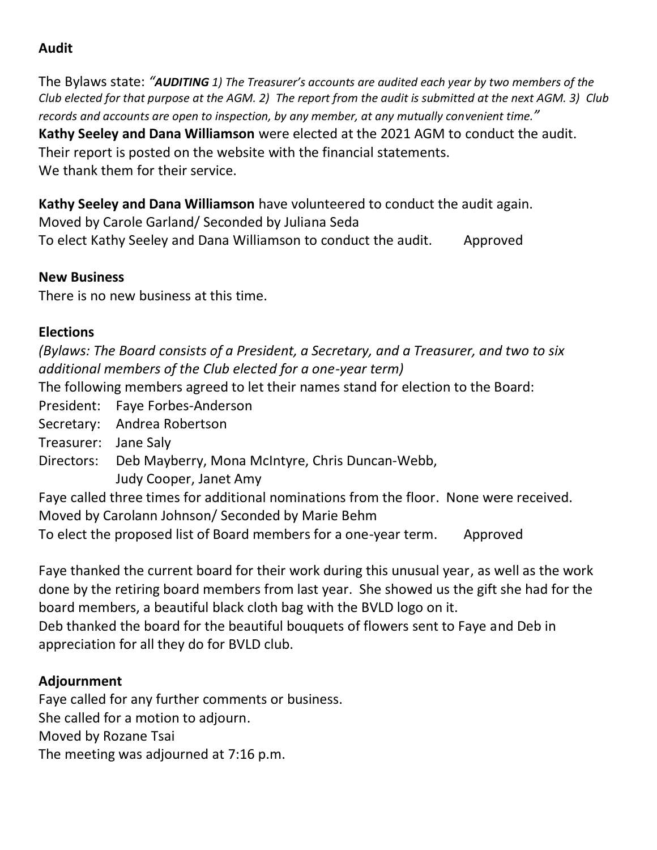## **Audit**

The Bylaws state: *"AUDITING 1) The Treasurer's accounts are audited each year by two members of the Club elected for that purpose at the AGM. 2) The report from the audit is submitted at the next AGM. 3) Club records and accounts are open to inspection, by any member, at any mutually convenient time."*

**Kathy Seeley and Dana Williamson** were elected at the 2021 AGM to conduct the audit. Their report is posted on the website with the financial statements. We thank them for their service.

**Kathy Seeley and Dana Williamson** have volunteered to conduct the audit again. Moved by Carole Garland/ Seconded by Juliana Seda To elect Kathy Seeley and Dana Williamson to conduct the audit. Approved

### **New Business**

There is no new business at this time.

## **Elections**

*(Bylaws: The Board consists of a President, a Secretary, and a Treasurer, and two to six additional members of the Club elected for a one-year term)*

The following members agreed to let their names stand for election to the Board:

- President: Faye Forbes-Anderson
- Secretary: Andrea Robertson
- Treasurer: Jane Saly
- Directors: Deb Mayberry, Mona McIntyre, Chris Duncan-Webb,
	- Judy Cooper, Janet Amy

Faye called three times for additional nominations from the floor. None were received. Moved by Carolann Johnson/ Seconded by Marie Behm

To elect the proposed list of Board members for a one-year term. Approved

Faye thanked the current board for their work during this unusual year, as well as the work done by the retiring board members from last year. She showed us the gift she had for the board members, a beautiful black cloth bag with the BVLD logo on it.

Deb thanked the board for the beautiful bouquets of flowers sent to Faye and Deb in appreciation for all they do for BVLD club.

# **Adjournment**

Faye called for any further comments or business. She called for a motion to adjourn. Moved by Rozane Tsai The meeting was adjourned at 7:16 p.m.